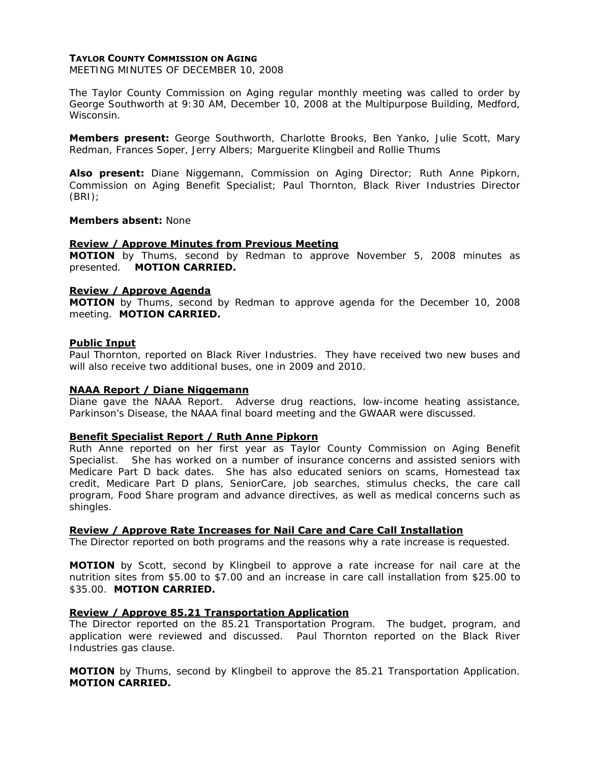## **TAYLOR COUNTY COMMISSION ON AGING**

MEETING MINUTES OF DECEMBER 10, 2008

The Taylor County Commission on Aging regular monthly meeting was called to order by George Southworth at 9:30 AM, December 10, 2008 at the Multipurpose Building, Medford, Wisconsin.

**Members present:** George Southworth, Charlotte Brooks, Ben Yanko, Julie Scott, Mary Redman, Frances Soper, Jerry Albers; Marguerite Klingbeil and Rollie Thums

**Also present:** Diane Niggemann, Commission on Aging Director; Ruth Anne Pipkorn, Commission on Aging Benefit Specialist; Paul Thornton, Black River Industries Director (BRI);

#### **Members absent:** None

#### **Review / Approve Minutes from Previous Meeting**

**MOTION** by Thums, second by Redman to approve November 5, 2008 minutes as presented. **MOTION CARRIED.** 

#### **Review / Approve Agenda**

**MOTION** by Thums, second by Redman to approve agenda for the December 10, 2008 meeting. **MOTION CARRIED.**

#### **Public Input**

Paul Thornton, reported on Black River Industries. They have received two new buses and will also receive two additional buses, one in 2009 and 2010.

## **NAAA Report / Diane Niggemann**

Diane gave the NAAA Report. Adverse drug reactions, low-income heating assistance, Parkinson's Disease, the NAAA final board meeting and the GWAAR were discussed.

## **Benefit Specialist Report / Ruth Anne Pipkorn**

Ruth Anne reported on her first year as Taylor County Commission on Aging Benefit Specialist. She has worked on a number of insurance concerns and assisted seniors with Medicare Part D back dates. She has also educated seniors on scams, Homestead tax credit, Medicare Part D plans, SeniorCare, job searches, stimulus checks, the care call program, Food Share program and advance directives, as well as medical concerns such as shingles.

## **Review / Approve Rate Increases for Nail Care and Care Call Installation**

The Director reported on both programs and the reasons why a rate increase is requested.

**MOTION** by Scott, second by Klingbeil to approve a rate increase for nail care at the nutrition sites from \$5.00 to \$7.00 and an increase in care call installation from \$25.00 to \$35.00. **MOTION CARRIED.** 

#### **Review / Approve 85.21 Transportation Application**

The Director reported on the 85.21 Transportation Program. The budget, program, and application were reviewed and discussed. Paul Thornton reported on the Black River Industries gas clause.

**MOTION** by Thums, second by Klingbeil to approve the 85.21 Transportation Application. **MOTION CARRIED.**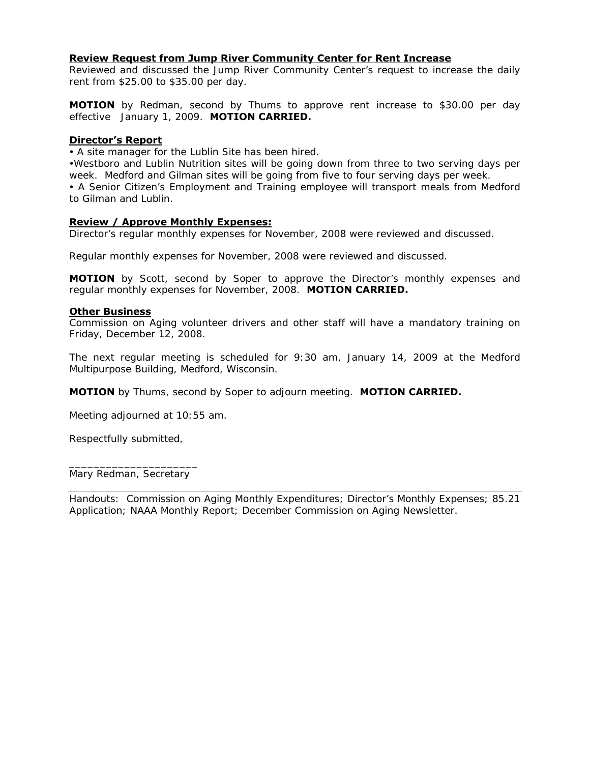# **Review Request from Jump River Community Center for Rent Increase**

Reviewed and discussed the Jump River Community Center's request to increase the daily rent from \$25.00 to \$35.00 per day.

**MOTION** by Redman, second by Thums to approve rent increase to \$30.00 per day effective January 1, 2009. **MOTION CARRIED.**

## **Director's Report**

• A site manager for the Lublin Site has been hired.

yWestboro and Lublin Nutrition sites will be going down from three to two serving days per week. Medford and Gilman sites will be going from five to four serving days per week.

• A Senior Citizen's Employment and Training employee will transport meals from Medford to Gilman and Lublin.

## **Review / Approve Monthly Expenses:**

Director's regular monthly expenses for November, 2008 were reviewed and discussed.

Regular monthly expenses for November, 2008 were reviewed and discussed.

**MOTION** by Scott, second by Soper to approve the Director's monthly expenses and regular monthly expenses for November, 2008. **MOTION CARRIED.** 

## **Other Business**

Commission on Aging volunteer drivers and other staff will have a mandatory training on Friday, December 12, 2008.

The next regular meeting is scheduled for 9:30 am, January 14, 2009 at the Medford Multipurpose Building, Medford, Wisconsin.

**MOTION** by Thums, second by Soper to adjourn meeting. **MOTION CARRIED.** 

Meeting adjourned at 10:55 am.

Respectfully submitted,

\_\_\_\_\_\_\_\_\_\_\_\_\_\_\_\_\_\_\_\_\_ Mary Redman, Secretary

Handouts: Commission on Aging Monthly Expenditures; Director's Monthly Expenses; 85.21 Application; NAAA Monthly Report; December Commission on Aging Newsletter.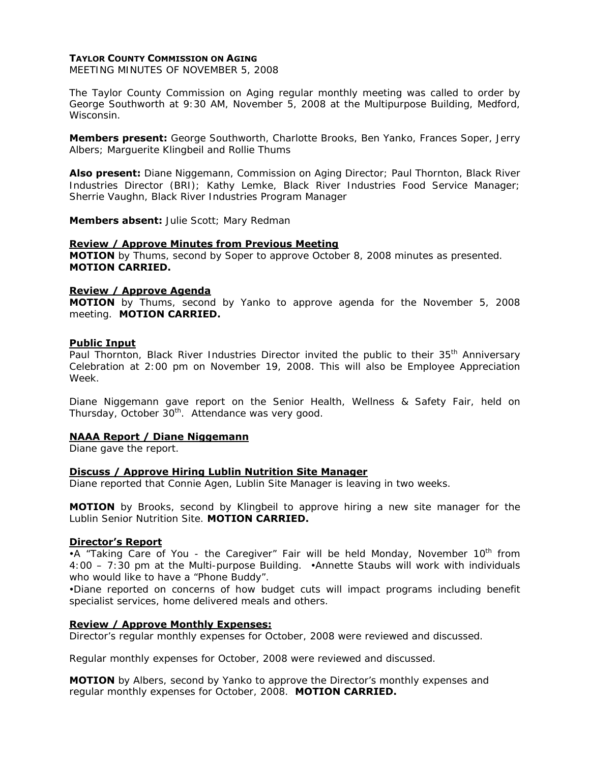## **TAYLOR COUNTY COMMISSION ON AGING**

MEETING MINUTES OF NOVEMBER 5, 2008

The Taylor County Commission on Aging regular monthly meeting was called to order by George Southworth at 9:30 AM, November 5, 2008 at the Multipurpose Building, Medford, Wisconsin.

**Members present:** George Southworth, Charlotte Brooks, Ben Yanko, Frances Soper, Jerry Albers; Marguerite Klingbeil and Rollie Thums

**Also present:** Diane Niggemann, Commission on Aging Director; Paul Thornton, Black River Industries Director (BRI); Kathy Lemke, Black River Industries Food Service Manager; Sherrie Vaughn, Black River Industries Program Manager

**Members absent:** Julie Scott; Mary Redman

#### **Review / Approve Minutes from Previous Meeting**

**MOTION** by Thums, second by Soper to approve October 8, 2008 minutes as presented. **MOTION CARRIED.** 

## **Review / Approve Agenda**

**MOTION** by Thums, second by Yanko to approve agenda for the November 5, 2008 meeting. **MOTION CARRIED.**

#### **Public Input**

Paul Thornton, Black River Industries Director invited the public to their 35<sup>th</sup> Anniversary Celebration at 2:00 pm on November 19, 2008. This will also be Employee Appreciation Week.

Diane Niggemann gave report on the Senior Health, Wellness & Safety Fair, held on Thursday, October 30<sup>th</sup>. Attendance was very good.

## **NAAA Report / Diane Niggemann**

Diane gave the report.

## **Discuss / Approve Hiring Lublin Nutrition Site Manager**

Diane reported that Connie Agen, Lublin Site Manager is leaving in two weeks.

**MOTION** by Brooks, second by Klingbeil to approve hiring a new site manager for the Lublin Senior Nutrition Site. **MOTION CARRIED.**

## **Director's Report**

•A "Taking Care of You - the Caregiver" Fair will be held Monday, November  $10^{th}$  from 4:00 – 7:30 pm at the Multi-purpose Building. yAnnette Staubs will work with individuals who would like to have a "Phone Buddy".

•Diane reported on concerns of how budget cuts will impact programs including benefit specialist services, home delivered meals and others.

## **Review / Approve Monthly Expenses:**

Director's regular monthly expenses for October, 2008 were reviewed and discussed.

Regular monthly expenses for October, 2008 were reviewed and discussed.

**MOTION** by Albers, second by Yanko to approve the Director's monthly expenses and regular monthly expenses for October, 2008. **MOTION CARRIED.**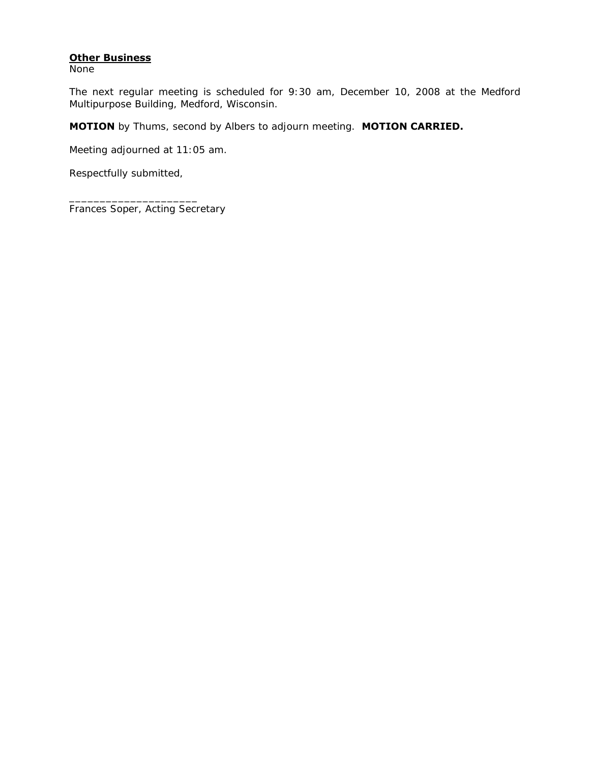# **Other Business**

None

The next regular meeting is scheduled for 9:30 am, December 10, 2008 at the Medford Multipurpose Building, Medford, Wisconsin.

**MOTION** by Thums, second by Albers to adjourn meeting. **MOTION CARRIED.** 

Meeting adjourned at 11:05 am.

Respectfully submitted,

\_\_\_\_\_\_\_\_\_\_\_\_\_\_\_\_\_\_\_\_\_

Frances Soper, Acting Secretary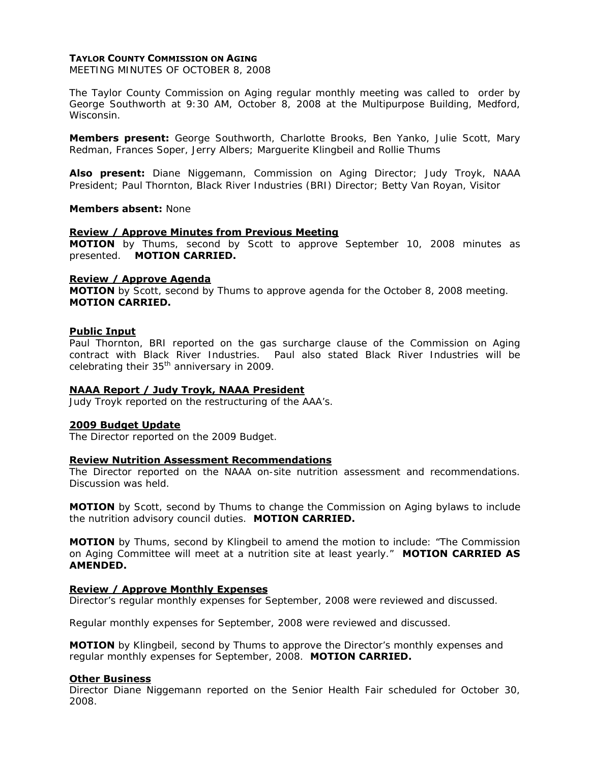## **TAYLOR COUNTY COMMISSION ON AGING**

MEETING MINUTES OF OCTOBER 8, 2008

The Taylor County Commission on Aging regular monthly meeting was called to order by George Southworth at 9:30 AM, October 8, 2008 at the Multipurpose Building, Medford, Wisconsin.

**Members present:** George Southworth, Charlotte Brooks, Ben Yanko, Julie Scott, Mary Redman, Frances Soper, Jerry Albers; Marguerite Klingbeil and Rollie Thums

**Also present:** Diane Niggemann, Commission on Aging Director; Judy Troyk, NAAA President; Paul Thornton, Black River Industries (BRI) Director; Betty Van Royan, Visitor

#### **Members absent:** None

#### **Review / Approve Minutes from Previous Meeting**

**MOTION** by Thums, second by Scott to approve September 10, 2008 minutes as presented. **MOTION CARRIED.** 

#### **Review / Approve Agenda**

**MOTION** by Scott, second by Thums to approve agenda for the October 8, 2008 meeting. **MOTION CARRIED.**

#### **Public Input**

Paul Thornton, BRI reported on the gas surcharge clause of the Commission on Aging contract with Black River Industries. Paul also stated Black River Industries will be celebrating their 35<sup>th</sup> anniversary in 2009.

## **NAAA Report / Judy Troyk, NAAA President**

Judy Troyk reported on the restructuring of the AAA's.

## **2009 Budget Update**

The Director reported on the 2009 Budget.

## **Review Nutrition Assessment Recommendations**

The Director reported on the NAAA on-site nutrition assessment and recommendations. Discussion was held.

**MOTION** by Scott, second by Thums to change the Commission on Aging bylaws to include the nutrition advisory council duties. **MOTION CARRIED.** 

**MOTION** by Thums, second by Klingbeil to amend the motion to include: "The Commission on Aging Committee will meet at a nutrition site at least yearly." **MOTION CARRIED AS AMENDED.** 

## **Review / Approve Monthly Expenses**

Director's regular monthly expenses for September, 2008 were reviewed and discussed.

Regular monthly expenses for September, 2008 were reviewed and discussed.

**MOTION** by Klingbeil, second by Thums to approve the Director's monthly expenses and regular monthly expenses for September, 2008. **MOTION CARRIED.** 

#### **Other Business**

Director Diane Niggemann reported on the Senior Health Fair scheduled for October 30, 2008.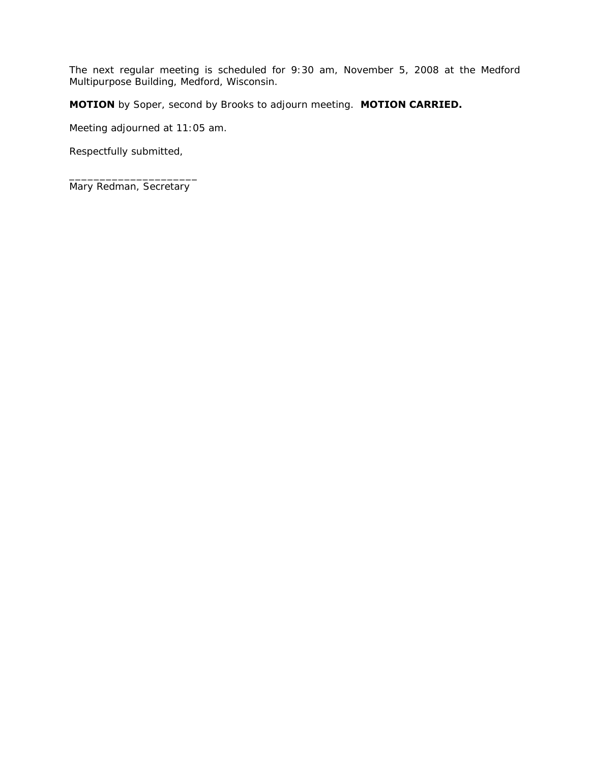The next regular meeting is scheduled for 9:30 am, November 5, 2008 at the Medford Multipurpose Building, Medford, Wisconsin.

**MOTION** by Soper, second by Brooks to adjourn meeting. **MOTION CARRIED.** 

Meeting adjourned at 11:05 am.

Respectfully submitted,

\_\_\_\_\_\_\_\_\_\_\_\_\_\_\_\_\_\_\_\_\_ Mary Redman, Secretary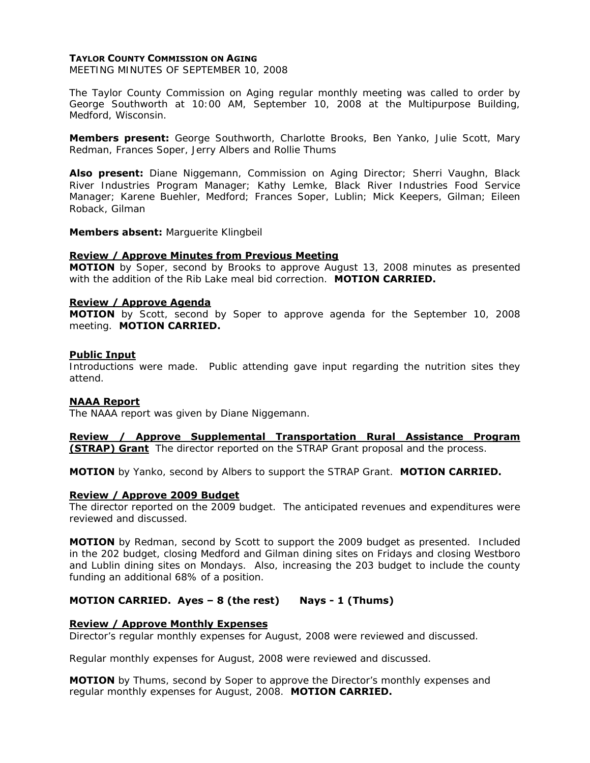## **TAYLOR COUNTY COMMISSION ON AGING**

MEETING MINUTES OF SEPTEMBER 10, 2008

The Taylor County Commission on Aging regular monthly meeting was called to order by George Southworth at 10:00 AM, September 10, 2008 at the Multipurpose Building, Medford, Wisconsin.

**Members present:** George Southworth, Charlotte Brooks, Ben Yanko, Julie Scott, Mary Redman, Frances Soper, Jerry Albers and Rollie Thums

**Also present:** Diane Niggemann, Commission on Aging Director; Sherri Vaughn, Black River Industries Program Manager; Kathy Lemke, Black River Industries Food Service Manager; Karene Buehler, Medford; Frances Soper, Lublin; Mick Keepers, Gilman; Eileen Roback, Gilman

**Members absent:** Marguerite Klingbeil

#### **Review / Approve Minutes from Previous Meeting**

**MOTION** by Soper, second by Brooks to approve August 13, 2008 minutes as presented with the addition of the Rib Lake meal bid correction. **MOTION CARRIED.** 

#### **Review / Approve Agenda**

**MOTION** by Scott, second by Soper to approve agenda for the September 10, 2008 meeting. **MOTION CARRIED.**

#### **Public Input**

Introductions were made. Public attending gave input regarding the nutrition sites they attend.

## **NAAA Report**

The NAAA report was given by Diane Niggemann.

**Review / Approve Supplemental Transportation Rural Assistance Program (STRAP) Grant** The director reported on the STRAP Grant proposal and the process.

**MOTION** by Yanko, second by Albers to support the STRAP Grant. **MOTION CARRIED.**

## **Review / Approve 2009 Budget**

The director reported on the 2009 budget. The anticipated revenues and expenditures were reviewed and discussed.

**MOTION** by Redman, second by Scott to support the 2009 budget as presented. Included in the 202 budget, closing Medford and Gilman dining sites on Fridays and closing Westboro and Lublin dining sites on Mondays. Also, increasing the 203 budget to include the county funding an additional 68% of a position.

## **MOTION CARRIED. Ayes – 8 (the rest) Nays - 1 (Thums)**

## **Review / Approve Monthly Expenses**

Director's regular monthly expenses for August, 2008 were reviewed and discussed.

Regular monthly expenses for August, 2008 were reviewed and discussed.

**MOTION** by Thums, second by Soper to approve the Director's monthly expenses and regular monthly expenses for August, 2008. **MOTION CARRIED.**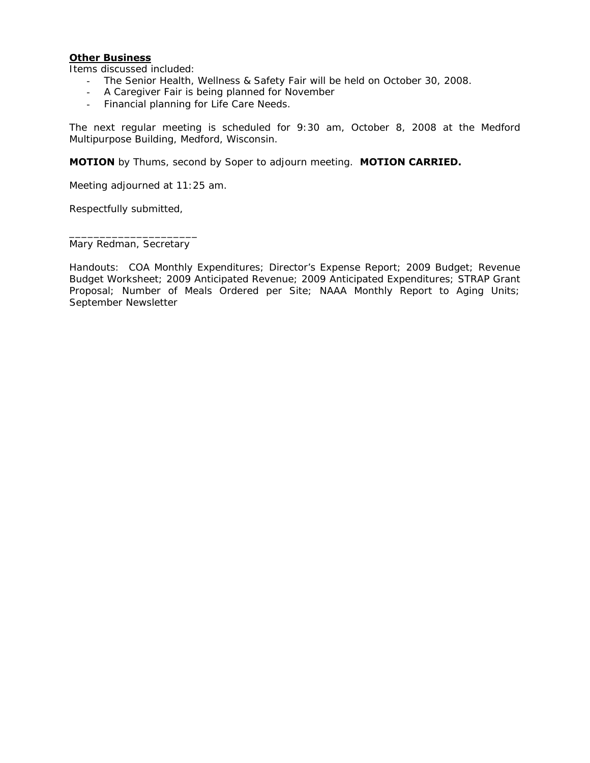## **Other Business**

Items discussed included:

- The Senior Health, Wellness & Safety Fair will be held on October 30, 2008.
- A Caregiver Fair is being planned for November
- Financial planning for Life Care Needs.

The next regular meeting is scheduled for 9:30 am, October 8, 2008 at the Medford Multipurpose Building, Medford, Wisconsin.

**MOTION** by Thums, second by Soper to adjourn meeting. **MOTION CARRIED.** 

Meeting adjourned at 11:25 am.

Respectfully submitted,

\_\_\_\_\_\_\_\_\_\_\_\_\_\_\_\_\_\_\_\_\_ Mary Redman, Secretary

Handouts: COA Monthly Expenditures; Director's Expense Report; 2009 Budget; Revenue Budget Worksheet; 2009 Anticipated Revenue; 2009 Anticipated Expenditures; STRAP Grant Proposal; Number of Meals Ordered per Site; NAAA Monthly Report to Aging Units; September Newsletter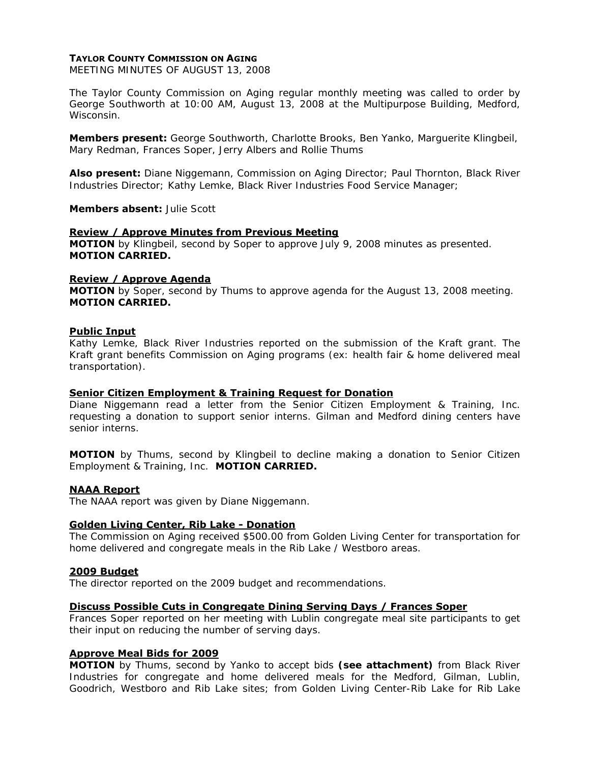## **TAYLOR COUNTY COMMISSION ON AGING**

MEETING MINUTES OF AUGUST 13, 2008

The Taylor County Commission on Aging regular monthly meeting was called to order by George Southworth at 10:00 AM, August 13, 2008 at the Multipurpose Building, Medford, Wisconsin.

**Members present:** George Southworth, Charlotte Brooks, Ben Yanko, Marguerite Klingbeil, Mary Redman, Frances Soper, Jerry Albers and Rollie Thums

**Also present:** Diane Niggemann, Commission on Aging Director; Paul Thornton, Black River Industries Director; Kathy Lemke, Black River Industries Food Service Manager;

**Members absent:** Julie Scott

#### **Review / Approve Minutes from Previous Meeting**

**MOTION** by Klingbeil, second by Soper to approve July 9, 2008 minutes as presented. **MOTION CARRIED.** 

## **Review / Approve Agenda**

**MOTION** by Soper, second by Thums to approve agenda for the August 13, 2008 meeting. **MOTION CARRIED.**

#### **Public Input**

Kathy Lemke, Black River Industries reported on the submission of the Kraft grant. The Kraft grant benefits Commission on Aging programs (ex: health fair & home delivered meal transportation).

#### **Senior Citizen Employment & Training Request for Donation**

Diane Niggemann read a letter from the Senior Citizen Employment & Training, Inc. requesting a donation to support senior interns. Gilman and Medford dining centers have senior interns.

**MOTION** by Thums, second by Klingbeil to decline making a donation to Senior Citizen Employment & Training, Inc. **MOTION CARRIED.**

## **NAAA Report**

The NAAA report was given by Diane Niggemann.

#### **Golden Living Center, Rib Lake - Donation**

The Commission on Aging received \$500.00 from Golden Living Center for transportation for home delivered and congregate meals in the Rib Lake / Westboro areas.

#### **2009 Budget**

The director reported on the 2009 budget and recommendations.

## **Discuss Possible Cuts in Congregate Dining Serving Days / Frances Soper**

Frances Soper reported on her meeting with Lublin congregate meal site participants to get their input on reducing the number of serving days.

# **Approve Meal Bids for 2009**

**MOTION** by Thums, second by Yanko to accept bids *(see attachment)* from Black River Industries for congregate and home delivered meals for the Medford, Gilman, Lublin, Goodrich, Westboro and Rib Lake sites; from Golden Living Center-Rib Lake for Rib Lake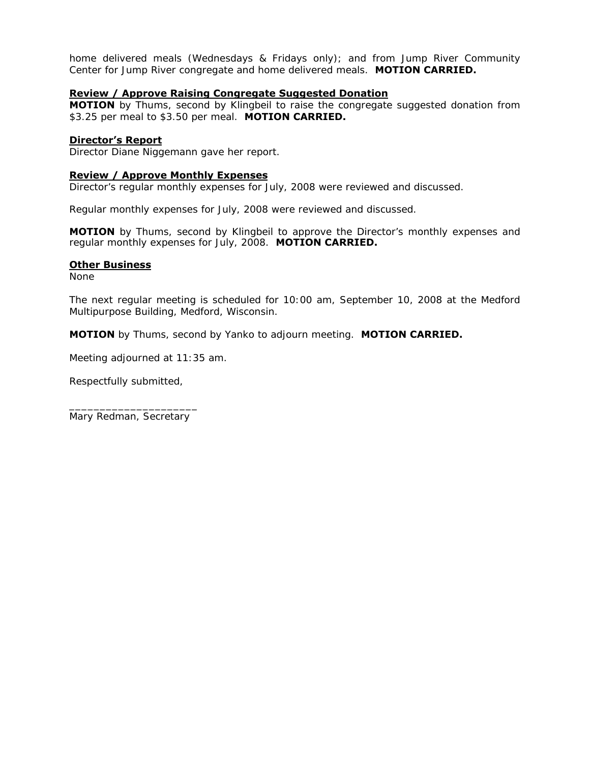home delivered meals (Wednesdays & Fridays only); and from Jump River Community Center for Jump River congregate and home delivered meals. **MOTION CARRIED.**

## **Review / Approve Raising Congregate Suggested Donation**

**MOTION** by Thums, second by Klingbeil to raise the congregate suggested donation from \$3.25 per meal to \$3.50 per meal. **MOTION CARRIED.**

## **Director's Report**

Director Diane Niggemann gave her report.

## **Review / Approve Monthly Expenses**

Director's regular monthly expenses for July, 2008 were reviewed and discussed.

Regular monthly expenses for July, 2008 were reviewed and discussed.

**MOTION** by Thums, second by Klingbeil to approve the Director's monthly expenses and regular monthly expenses for July, 2008. **MOTION CARRIED.** 

## **Other Business**

None

The next regular meeting is scheduled for 10:00 am, September 10, 2008 at the Medford Multipurpose Building, Medford, Wisconsin.

**MOTION** by Thums, second by Yanko to adjourn meeting. **MOTION CARRIED.** 

Meeting adjourned at 11:35 am.

Respectfully submitted,

\_\_\_\_\_\_\_\_\_\_\_\_\_\_\_\_\_\_\_\_\_ Mary Redman, Secretary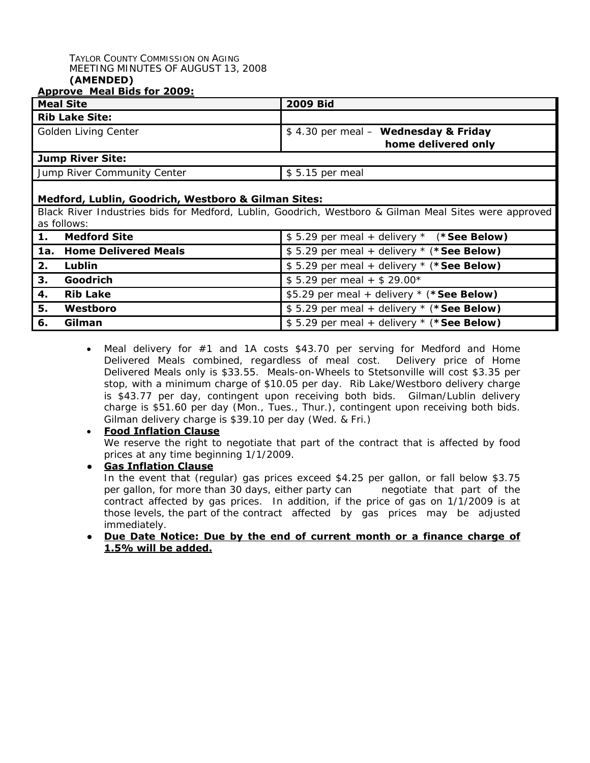#### TAYLOR COUNTY COMMISSION ON AGING MEETING MINUTES OF AUGUST 13, 2008 **(AMENDED)**

# **Approve Meal Bids for 2009:**

|                                                                                                                      | <u> Аррготс гісаг річэ тог боорі</u><br><b>Meal Site</b> | <b>2009 Bid</b>                                             |  |
|----------------------------------------------------------------------------------------------------------------------|----------------------------------------------------------|-------------------------------------------------------------|--|
| <b>Rib Lake Site:</b>                                                                                                |                                                          |                                                             |  |
|                                                                                                                      | Golden Living Center                                     | \$4.30 per meal - Wednesday & Friday<br>home delivered only |  |
| <b>Jump River Site:</b>                                                                                              |                                                          |                                                             |  |
|                                                                                                                      | Jump River Community Center                              | \$5.15 per meal                                             |  |
| Medford, Lublin, Goodrich, Westboro & Gilman Sites:                                                                  |                                                          |                                                             |  |
| Black River Industries bids for Medford, Lublin, Goodrich, Westboro & Gilman Meal Sites were approved<br>as follows: |                                                          |                                                             |  |
| 1.                                                                                                                   | <b>Medford Site</b>                                      | \$5.29 per meal + delivery $*$ (*See Below)                 |  |
| 1a.                                                                                                                  | <b>Home Delivered Meals</b>                              | \$5.29 per meal + delivery $*$ (*See Below)                 |  |
| 2.                                                                                                                   | Lublin                                                   | \$5.29 per meal + delivery * (*See Below)                   |  |
| 3.                                                                                                                   | Goodrich                                                 | $$5.29$ per meal + \$ 29.00*                                |  |
| 4.                                                                                                                   | <b>Rib Lake</b>                                          | \$5.29 per meal + delivery * (*See Below)                   |  |
| 5.                                                                                                                   | Westboro                                                 | \$5.29 per meal + delivery * (*See Below)                   |  |
| 6.                                                                                                                   | Gilman                                                   | \$5.29 per meal + delivery $*$ (*See Below)                 |  |

Meal delivery for #1 and 1A costs \$43.70 per serving for Medford and Home Delivered Meals combined, regardless of meal cost. Delivery price of Home Delivered Meals only is \$33.55. Meals-on-Wheels to Stetsonville will cost \$3.35 per stop, with a minimum charge of \$10.05 per day. Rib Lake/Westboro delivery charge is \$43.77 per day, contingent upon receiving both bids. Gilman/Lublin delivery charge is \$51.60 per day (Mon., Tues., Thur.), contingent upon receiving both bids. Gilman delivery charge is \$39.10 per day (Wed. & Fri.)

# • **Food Inflation Clause**

We reserve the right to negotiate that part of the contract that is affected by food prices at any time beginning 1/1/2009.

**● Gas Inflation Clause** In the event that (regular) gas prices exceed \$4.25 per gallon, or fall below \$3.75 per gallon, for more than 30 days, either party can negotiate that part of the contract affected by gas prices. In addition, if the price of gas on 1/1/2009 is at those levels, the part of the contract affected by gas prices may be adjusted immediately.

# **● Due Date Notice: Due by the end of current month or a finance charge of 1.5% will be added.**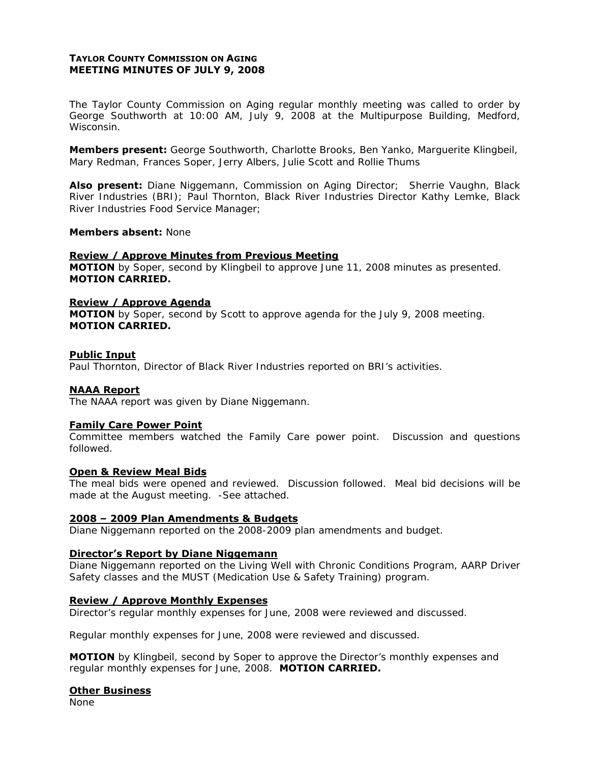# **TAYLOR COUNTY COMMISSION ON AGING MEETING MINUTES OF JULY 9, 2008**

The Taylor County Commission on Aging regular monthly meeting was called to order by George Southworth at 10:00 AM, July 9, 2008 at the Multipurpose Building, Medford, Wisconsin.

**Members present:** George Southworth, Charlotte Brooks, Ben Yanko, Marguerite Klingbeil, Mary Redman, Frances Soper, Jerry Albers, Julie Scott and Rollie Thums

**Also present:** Diane Niggemann, Commission on Aging Director; Sherrie Vaughn, Black River Industries (BRI); Paul Thornton, Black River Industries Director Kathy Lemke, Black River Industries Food Service Manager;

#### **Members absent:** None

## **Review / Approve Minutes from Previous Meeting**

**MOTION** by Soper, second by Klingbeil to approve June 11, 2008 minutes as presented. **MOTION CARRIED.** 

## **Review / Approve Agenda**

**MOTION** by Soper, second by Scott to approve agenda for the July 9, 2008 meeting. **MOTION CARRIED.**

#### **Public Input**

Paul Thornton, Director of Black River Industries reported on BRI's activities.

## **NAAA Report**

The NAAA report was given by Diane Niggemann.

#### **Family Care Power Point**

Committee members watched the Family Care power point. Discussion and questions followed.

## **Open & Review Meal Bids**

The meal bids were opened and reviewed. Discussion followed. Meal bid decisions will be made at the August meeting. *-See attached*.

#### **2008 – 2009 Plan Amendments & Budgets**

Diane Niggemann reported on the 2008-2009 plan amendments and budget.

#### **Director's Report by Diane Niggemann**

Diane Niggemann reported on the Living Well with Chronic Conditions Program, AARP Driver Safety classes and the MUST (Medication Use & Safety Training) program.

## **Review / Approve Monthly Expenses**

Director's regular monthly expenses for June, 2008 were reviewed and discussed.

Regular monthly expenses for June, 2008 were reviewed and discussed.

**MOTION** by Klingbeil, second by Soper to approve the Director's monthly expenses and regular monthly expenses for June, 2008. **MOTION CARRIED.** 

#### **Other Business**

None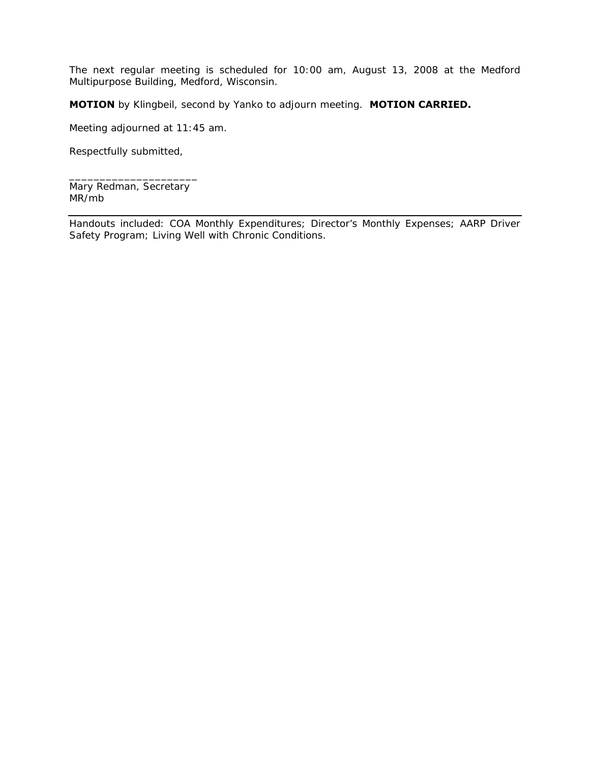The next regular meeting is scheduled for 10:00 am, August 13, 2008 at the Medford Multipurpose Building, Medford, Wisconsin.

**MOTION** by Klingbeil, second by Yanko to adjourn meeting. **MOTION CARRIED.** 

Meeting adjourned at 11:45 am.

Respectfully submitted,

\_\_\_\_\_\_\_\_\_\_\_\_\_\_\_\_\_\_\_\_\_ Mary Redman, Secretary MR/mb

Handouts included: COA Monthly Expenditures; Director's Monthly Expenses; AARP Driver Safety Program; Living Well with Chronic Conditions.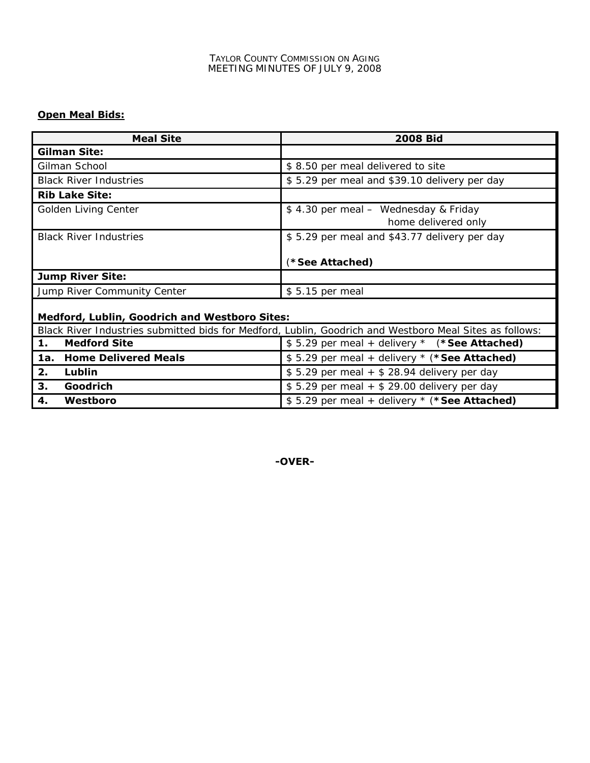# **Open Meal Bids:**

| <b>Meal Site</b>                                     | <b>2008 Bid</b>                                                                                         |  |  |
|------------------------------------------------------|---------------------------------------------------------------------------------------------------------|--|--|
| <b>Gilman Site:</b>                                  |                                                                                                         |  |  |
| Gilman School                                        | \$8.50 per meal delivered to site                                                                       |  |  |
| <b>Black River Industries</b>                        | \$5.29 per meal and \$39.10 delivery per day                                                            |  |  |
| <b>Rib Lake Site:</b>                                |                                                                                                         |  |  |
| Golden Living Center                                 | \$4.30 per meal - Wednesday & Friday<br>home delivered only                                             |  |  |
| <b>Black River Industries</b>                        | \$5.29 per meal and \$43.77 delivery per day<br>(*See Attached)                                         |  |  |
| <b>Jump River Site:</b>                              |                                                                                                         |  |  |
| Jump River Community Center                          | \$5.15 per meal                                                                                         |  |  |
| <b>Medford, Lublin, Goodrich and Westboro Sites:</b> |                                                                                                         |  |  |
|                                                      | Black River Industries submitted bids for Medford, Lublin, Goodrich and Westboro Meal Sites as follows: |  |  |
| <b>Medford Site</b><br>1.                            | \$5.29 per meal + delivery $*$ (*See Attached)                                                          |  |  |
| <b>Home Delivered Meals</b><br>1a.                   | \$5.29 per meal + delivery * (*See Attached)                                                            |  |  |
| 2.<br>Lublin                                         | $$5.29$ per meal + $$28.94$ delivery per day                                                            |  |  |
| 3.<br>Goodrich                                       | $$5.29$ per meal + $$29.00$ delivery per day                                                            |  |  |

**-OVER-** 

**4.** Westboro **1.** S 5.29 per meal + delivery \* (\*See Attached)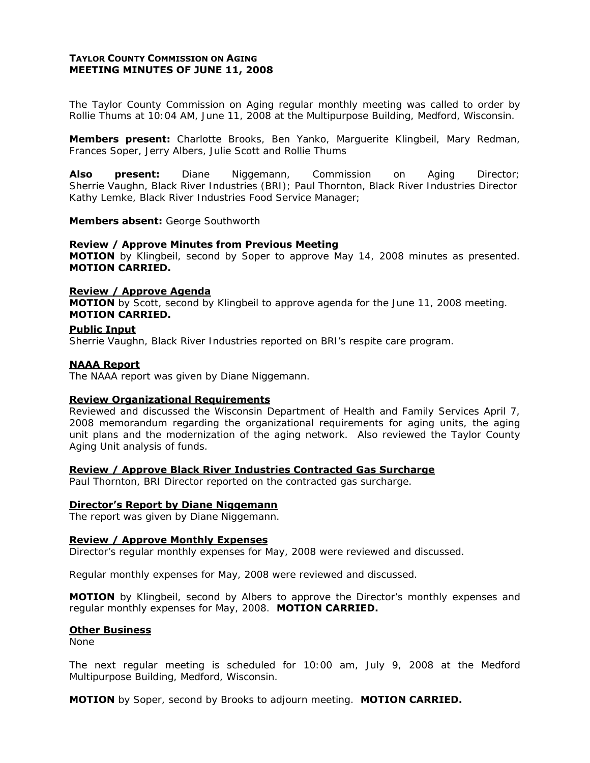# **TAYLOR COUNTY COMMISSION ON AGING MEETING MINUTES OF JUNE 11, 2008**

The Taylor County Commission on Aging regular monthly meeting was called to order by Rollie Thums at 10:04 AM, June 11, 2008 at the Multipurpose Building, Medford, Wisconsin.

**Members present:** Charlotte Brooks, Ben Yanko, Marguerite Klingbeil, Mary Redman, Frances Soper, Jerry Albers, Julie Scott and Rollie Thums

**Also present:** Diane Niggemann, Commission on Aging Director; Sherrie Vaughn, Black River Industries (BRI); Paul Thornton, Black River Industries Director Kathy Lemke, Black River Industries Food Service Manager;

#### **Members absent:** George Southworth

#### **Review / Approve Minutes from Previous Meeting**

**MOTION** by Klingbeil, second by Soper to approve May 14, 2008 minutes as presented. **MOTION CARRIED.** 

## **Review / Approve Agenda**

**MOTION** by Scott, second by Klingbeil to approve agenda for the June 11, 2008 meeting. **MOTION CARRIED.**

#### **Public Input**

Sherrie Vaughn, Black River Industries reported on BRI's respite care program.

#### **NAAA Report**

The NAAA report was given by Diane Niggemann.

## **Review Organizational Requirements**

Reviewed and discussed the Wisconsin Department of Health and Family Services April 7, 2008 memorandum regarding the organizational requirements for aging units, the aging unit plans and the modernization of the aging network. Also reviewed the Taylor County Aging Unit analysis of funds.

#### **Review / Approve Black River Industries Contracted Gas Surcharge**

Paul Thornton, BRI Director reported on the contracted gas surcharge.

## **Director's Report by Diane Niggemann**

The report was given by Diane Niggemann.

#### **Review / Approve Monthly Expenses**

Director's regular monthly expenses for May, 2008 were reviewed and discussed.

Regular monthly expenses for May, 2008 were reviewed and discussed.

**MOTION** by Klingbeil, second by Albers to approve the Director's monthly expenses and regular monthly expenses for May, 2008. **MOTION CARRIED.** 

#### **Other Business**

None

The next regular meeting is scheduled for 10:00 am, July 9, 2008 at the Medford Multipurpose Building, Medford, Wisconsin.

**MOTION** by Soper, second by Brooks to adjourn meeting. **MOTION CARRIED.**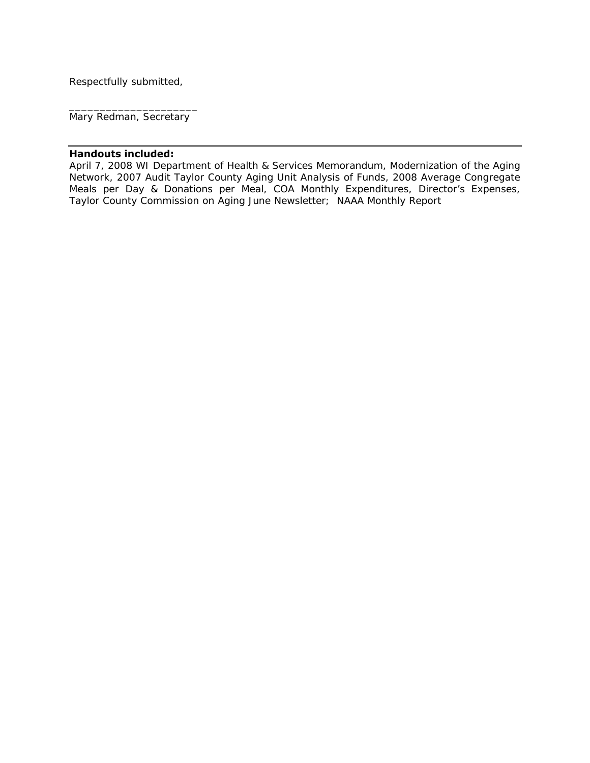Respectfully submitted,

\_\_\_\_\_\_\_\_\_\_\_\_\_\_\_\_\_\_\_\_\_ Mary Redman, Secretary

# **Handouts included:**

April 7, 2008 WI Department of Health & Services Memorandum, Modernization of the Aging Network, 2007 Audit Taylor County Aging Unit Analysis of Funds, 2008 Average Congregate Meals per Day & Donations per Meal, COA Monthly Expenditures, Director's Expenses, Taylor County Commission on Aging June Newsletter; NAAA Monthly Report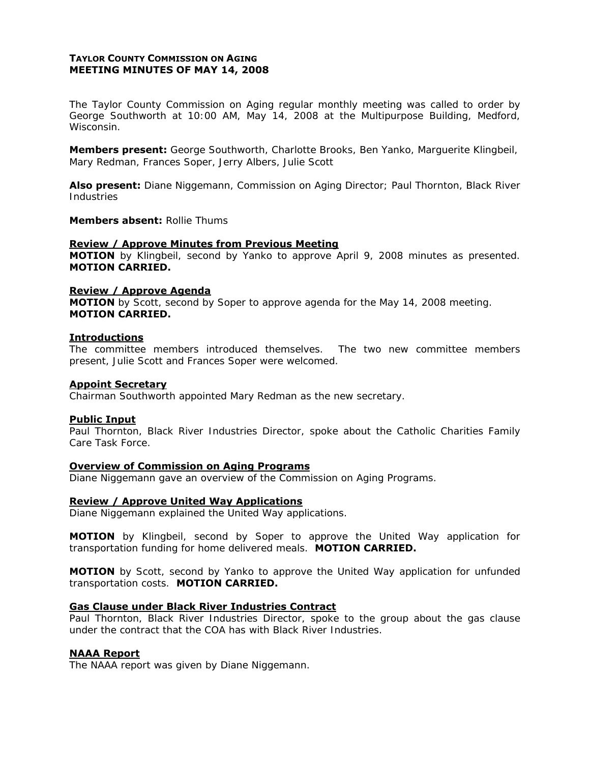# **TAYLOR COUNTY COMMISSION ON AGING MEETING MINUTES OF MAY 14, 2008**

The Taylor County Commission on Aging regular monthly meeting was called to order by George Southworth at 10:00 AM, May 14, 2008 at the Multipurpose Building, Medford, Wisconsin.

**Members present:** George Southworth, Charlotte Brooks, Ben Yanko, Marguerite Klingbeil, Mary Redman, Frances Soper, Jerry Albers, Julie Scott

**Also present:** Diane Niggemann, Commission on Aging Director; Paul Thornton, Black River Industries

## **Members absent:** Rollie Thums

## **Review / Approve Minutes from Previous Meeting**

**MOTION** by Klingbeil, second by Yanko to approve April 9, 2008 minutes as presented. **MOTION CARRIED.** 

## **Review / Approve Agenda**

**MOTION** by Scott, second by Soper to approve agenda for the May 14, 2008 meeting. **MOTION CARRIED.** 

#### **Introductions**

The committee members introduced themselves. The two new committee members present, Julie Scott and Frances Soper were welcomed.

### **Appoint Secretary**

Chairman Southworth appointed Mary Redman as the new secretary.

## **Public Input**

Paul Thornton, Black River Industries Director, spoke about the Catholic Charities Family Care Task Force.

## **Overview of Commission on Aging Programs**

Diane Niggemann gave an overview of the Commission on Aging Programs.

## **Review / Approve United Way Applications**

Diane Niggemann explained the United Way applications.

**MOTION** by Klingbeil, second by Soper to approve the United Way application for transportation funding for home delivered meals. **MOTION CARRIED.** 

**MOTION** by Scott, second by Yanko to approve the United Way application for unfunded transportation costs. **MOTION CARRIED.**

## **Gas Clause under Black River Industries Contract**

Paul Thornton, Black River Industries Director, spoke to the group about the gas clause under the contract that the COA has with Black River Industries.

## **NAAA Report**

The NAAA report was given by Diane Niggemann.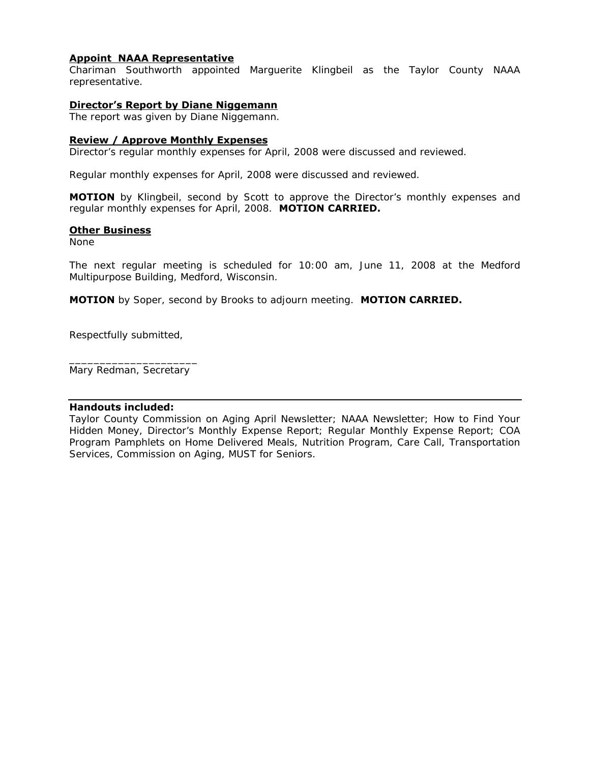# **Appoint NAAA Representative**

Chariman Southworth appointed Marguerite Klingbeil as the Taylor County NAAA representative.

## **Director's Report by Diane Niggemann**

The report was given by Diane Niggemann.

## **Review / Approve Monthly Expenses**

Director's regular monthly expenses for April, 2008 were discussed and reviewed.

Regular monthly expenses for April, 2008 were discussed and reviewed.

**MOTION** by Klingbeil, second by Scott to approve the Director's monthly expenses and regular monthly expenses for April, 2008. **MOTION CARRIED.** 

## **Other Business**

None

The next regular meeting is scheduled for 10:00 am, June 11, 2008 at the Medford Multipurpose Building, Medford, Wisconsin.

**MOTION** by Soper, second by Brooks to adjourn meeting. **MOTION CARRIED.** 

Respectfully submitted,

\_\_\_\_\_\_\_\_\_\_\_\_\_\_\_\_\_\_\_\_\_ Mary Redman, Secretary

## **Handouts included:**

Taylor County Commission on Aging April Newsletter; NAAA Newsletter; How to Find Your Hidden Money, Director's Monthly Expense Report; Regular Monthly Expense Report; COA Program Pamphlets on Home Delivered Meals, Nutrition Program, Care Call, Transportation Services, Commission on Aging, MUST for Seniors.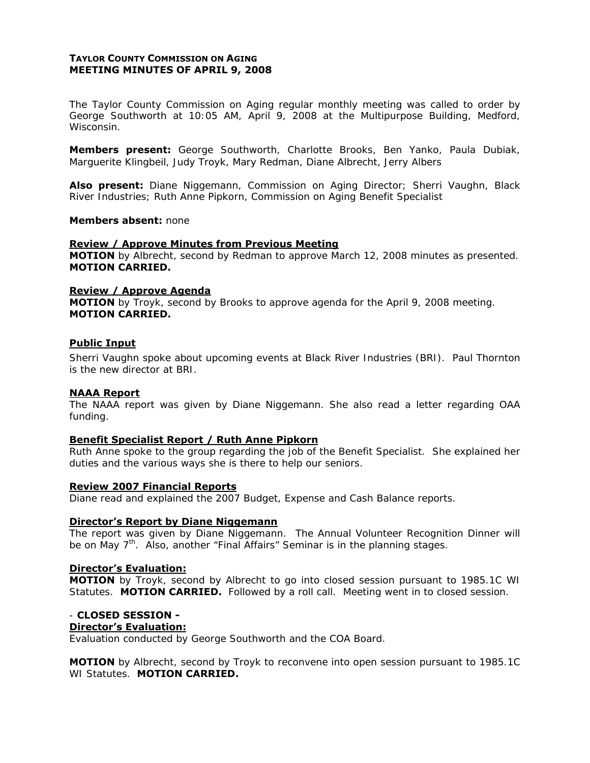## **TAYLOR COUNTY COMMISSION ON AGING MEETING MINUTES OF APRIL 9, 2008**

The Taylor County Commission on Aging regular monthly meeting was called to order by George Southworth at 10:05 AM, April 9, 2008 at the Multipurpose Building, Medford, Wisconsin.

**Members present:** George Southworth, Charlotte Brooks, Ben Yanko, Paula Dubiak, Marguerite Klingbeil, Judy Troyk, Mary Redman, Diane Albrecht, Jerry Albers

**Also present:** Diane Niggemann, Commission on Aging Director; Sherri Vaughn, Black River Industries; Ruth Anne Pipkorn, Commission on Aging Benefit Specialist

#### **Members absent:** none

#### **Review / Approve Minutes from Previous Meeting**

**MOTION** by Albrecht, second by Redman to approve March 12, 2008 minutes as presented. **MOTION CARRIED.** 

#### **Review / Approve Agenda**

**MOTION** by Troyk, second by Brooks to approve agenda for the April 9, 2008 meeting. **MOTION CARRIED.**

#### **Public Input**

Sherri Vaughn spoke about upcoming events at Black River Industries (BRI). Paul Thornton is the new director at BRI.

## **NAAA Report**

The NAAA report was given by Diane Niggemann. She also read a letter regarding OAA funding.

## **Benefit Specialist Report / Ruth Anne Pipkorn**

Ruth Anne spoke to the group regarding the job of the Benefit Specialist. She explained her duties and the various ways she is there to help our seniors.

#### **Review 2007 Financial Reports**

Diane read and explained the 2007 Budget, Expense and Cash Balance reports.

## **Director's Report by Diane Niggemann**

The report was given by Diane Niggemann. The Annual Volunteer Recognition Dinner will be on May  $7<sup>th</sup>$ . Also, another "Final Affairs" Seminar is in the planning stages.

#### **Director's Evaluation:**

**MOTION** by Troyk, second by Albrecht to go into closed session pursuant to 1985.1C WI Statutes. **MOTION CARRIED.** Followed by a roll call. Meeting went in to closed session.

## - **CLOSED SESSION -**

## **Director's Evaluation:**

Evaluation conducted by George Southworth and the COA Board.

**MOTION** by Albrecht, second by Troyk to reconvene into open session pursuant to 1985.1C WI Statutes. **MOTION CARRIED.**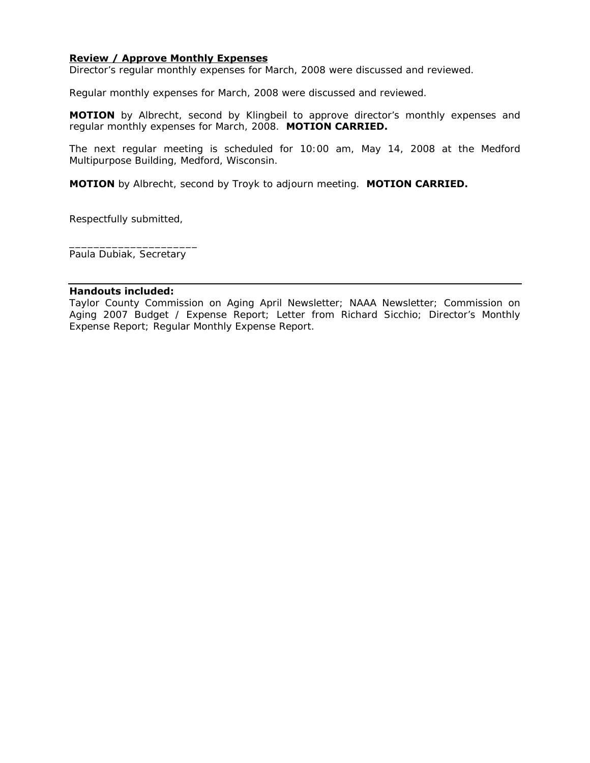# **Review / Approve Monthly Expenses**

Director's regular monthly expenses for March, 2008 were discussed and reviewed.

Regular monthly expenses for March, 2008 were discussed and reviewed.

**MOTION** by Albrecht, second by Klingbeil to approve director's monthly expenses and regular monthly expenses for March, 2008. **MOTION CARRIED.** 

The next regular meeting is scheduled for 10:00 am, May 14, 2008 at the Medford Multipurpose Building, Medford, Wisconsin.

**MOTION** by Albrecht, second by Troyk to adjourn meeting. **MOTION CARRIED.** 

Respectfully submitted,

\_\_\_\_\_\_\_\_\_\_\_\_\_\_\_\_\_\_\_\_\_ Paula Dubiak, Secretary

#### **Handouts included:**

Taylor County Commission on Aging April Newsletter; NAAA Newsletter; Commission on Aging 2007 Budget / Expense Report; Letter from Richard Sicchio; Director's Monthly Expense Report; Regular Monthly Expense Report.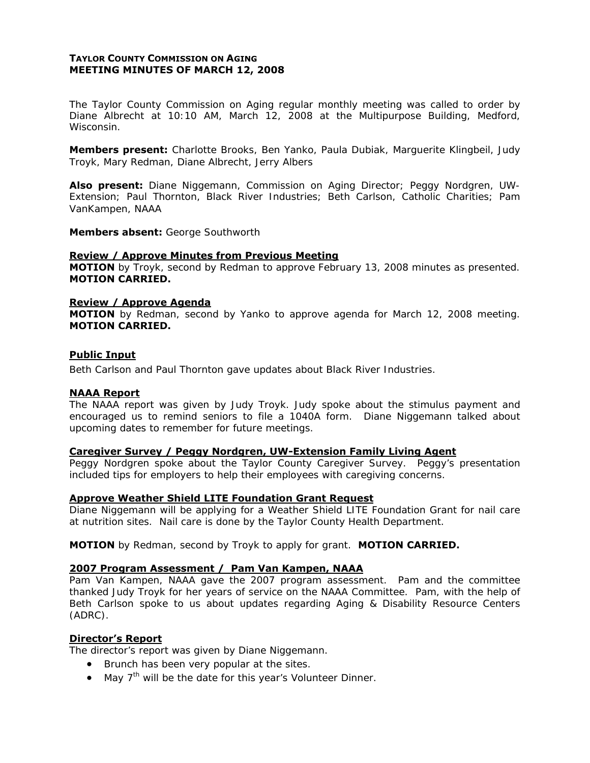# **TAYLOR COUNTY COMMISSION ON AGING MEETING MINUTES OF MARCH 12, 2008**

The Taylor County Commission on Aging regular monthly meeting was called to order by Diane Albrecht at 10:10 AM, March 12, 2008 at the Multipurpose Building, Medford, Wisconsin.

**Members present:** Charlotte Brooks, Ben Yanko, Paula Dubiak, Marguerite Klingbeil, Judy Troyk, Mary Redman, Diane Albrecht, Jerry Albers

**Also present:** Diane Niggemann, Commission on Aging Director; Peggy Nordgren, UW-Extension; Paul Thornton, Black River Industries; Beth Carlson, Catholic Charities; Pam VanKampen, NAAA

**Members absent:** George Southworth

## **Review / Approve Minutes from Previous Meeting**

**MOTION** by Troyk, second by Redman to approve February 13, 2008 minutes as presented. **MOTION CARRIED.** 

## **Review / Approve Agenda**

**MOTION** by Redman, second by Yanko to approve agenda for March 12, 2008 meeting. **MOTION CARRIED.**

## **Public Input**

Beth Carlson and Paul Thornton gave updates about Black River Industries.

## **NAAA Report**

The NAAA report was given by Judy Troyk. Judy spoke about the stimulus payment and encouraged us to remind seniors to file a 1040A form. Diane Niggemann talked about upcoming dates to remember for future meetings.

### **Caregiver Survey / Peggy Nordgren, UW-Extension Family Living Agent**

Peggy Nordgren spoke about the Taylor County Caregiver Survey. Peggy's presentation included tips for employers to help their employees with caregiving concerns.

## **Approve Weather Shield LITE Foundation Grant Request**

Diane Niggemann will be applying for a Weather Shield LITE Foundation Grant for nail care at nutrition sites. Nail care is done by the Taylor County Health Department.

#### **MOTION** by Redman, second by Troyk to apply for grant. **MOTION CARRIED.**

## **2007 Program Assessment / Pam Van Kampen, NAAA**

Pam Van Kampen, NAAA gave the 2007 program assessment. Pam and the committee thanked Judy Troyk for her years of service on the NAAA Committee. Pam, with the help of Beth Carlson spoke to us about updates regarding Aging & Disability Resource Centers (ADRC).

## **Director's Report**

The director's report was given by Diane Niggemann.

- Brunch has been very popular at the sites.
- May  $7<sup>th</sup>$  will be the date for this year's Volunteer Dinner.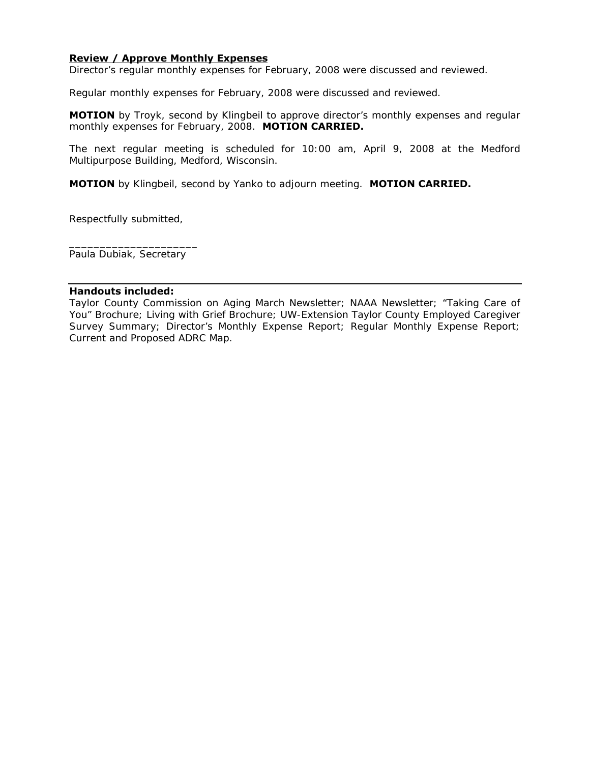# **Review / Approve Monthly Expenses**

Director's regular monthly expenses for February, 2008 were discussed and reviewed.

Regular monthly expenses for February, 2008 were discussed and reviewed.

**MOTION** by Troyk, second by Klingbeil to approve director's monthly expenses and regular monthly expenses for February, 2008. **MOTION CARRIED.** 

The next regular meeting is scheduled for 10:00 am, April 9, 2008 at the Medford Multipurpose Building, Medford, Wisconsin.

**MOTION** by Klingbeil, second by Yanko to adjourn meeting. **MOTION CARRIED.** 

Respectfully submitted,

\_\_\_\_\_\_\_\_\_\_\_\_\_\_\_\_\_\_\_\_\_ Paula Dubiak, Secretary

## **Handouts included:**

Taylor County Commission on Aging March Newsletter; NAAA Newsletter; "Taking Care of You" Brochure; Living with Grief Brochure; UW-Extension Taylor County Employed Caregiver Survey Summary; Director's Monthly Expense Report; Regular Monthly Expense Report; Current and Proposed ADRC Map.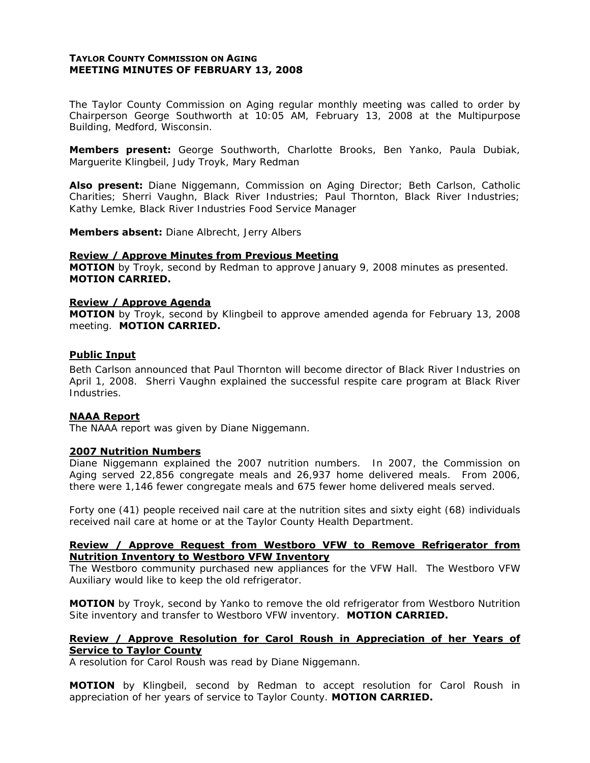## **TAYLOR COUNTY COMMISSION ON AGING MEETING MINUTES OF FEBRUARY 13, 2008**

The Taylor County Commission on Aging regular monthly meeting was called to order by Chairperson George Southworth at 10:05 AM, February 13, 2008 at the Multipurpose Building, Medford, Wisconsin.

**Members present:** George Southworth, Charlotte Brooks, Ben Yanko, Paula Dubiak, Marguerite Klingbeil, Judy Troyk, Mary Redman

**Also present:** Diane Niggemann, Commission on Aging Director; Beth Carlson, Catholic Charities; Sherri Vaughn, Black River Industries; Paul Thornton, Black River Industries; Kathy Lemke, Black River Industries Food Service Manager

**Members absent:** Diane Albrecht, Jerry Albers

## **Review / Approve Minutes from Previous Meeting**

**MOTION** by Troyk, second by Redman to approve January 9, 2008 minutes as presented. **MOTION CARRIED.** 

#### **Review / Approve Agenda**

**MOTION** by Troyk, second by Klingbeil to approve amended agenda for February 13, 2008 meeting. **MOTION CARRIED.**

## **Public Input**

Beth Carlson announced that Paul Thornton will become director of Black River Industries on April 1, 2008. Sherri Vaughn explained the successful respite care program at Black River Industries.

## **NAAA Report**

The NAAA report was given by Diane Niggemann.

## **2007 Nutrition Numbers**

Diane Niggemann explained the 2007 nutrition numbers. In 2007, the Commission on Aging served 22,856 congregate meals and 26,937 home delivered meals. From 2006, there were 1,146 fewer congregate meals and 675 fewer home delivered meals served.

Forty one (41) people received nail care at the nutrition sites and sixty eight (68) individuals received nail care at home or at the Taylor County Health Department.

## **Review / Approve Request from Westboro VFW to Remove Refrigerator from Nutrition Inventory to Westboro VFW Inventory**

The Westboro community purchased new appliances for the VFW Hall. The Westboro VFW Auxiliary would like to keep the old refrigerator.

**MOTION** by Troyk, second by Yanko to remove the old refrigerator from Westboro Nutrition Site inventory and transfer to Westboro VFW inventory. **MOTION CARRIED.**

## **Review / Approve Resolution for Carol Roush in Appreciation of her Years of Service to Taylor County**

A resolution for Carol Roush was read by Diane Niggemann.

**MOTION** by Klingbeil, second by Redman to accept resolution for Carol Roush in appreciation of her years of service to Taylor County. **MOTION CARRIED.**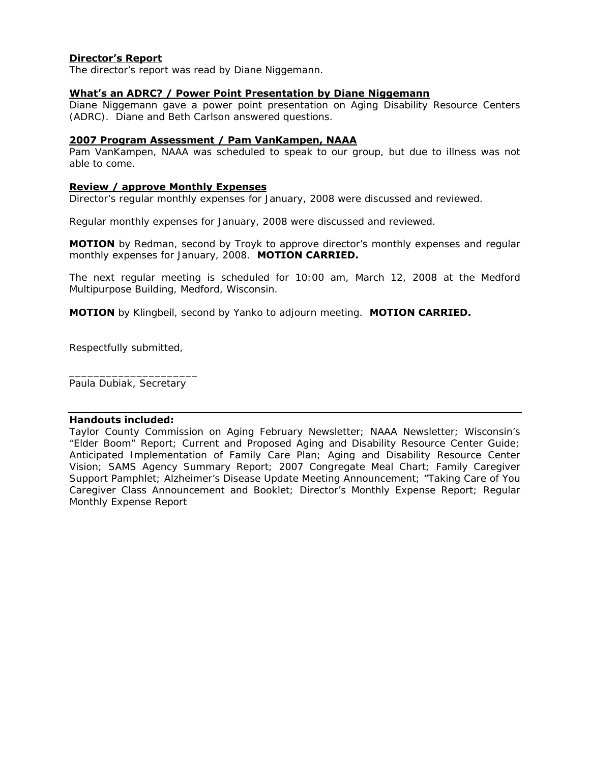# **Director's Report**

The director's report was read by Diane Niggemann.

## **What's an ADRC? / Power Point Presentation by Diane Niggemann**

Diane Niggemann gave a power point presentation on Aging Disability Resource Centers (ADRC). Diane and Beth Carlson answered questions.

## **2007 Program Assessment / Pam VanKampen, NAAA**

Pam VanKampen, NAAA was scheduled to speak to our group, but due to illness was not able to come.

## **Review / approve Monthly Expenses**

Director's regular monthly expenses for January, 2008 were discussed and reviewed.

Regular monthly expenses for January, 2008 were discussed and reviewed.

**MOTION** by Redman, second by Troyk to approve director's monthly expenses and regular monthly expenses for January, 2008. **MOTION CARRIED.** 

The next regular meeting is scheduled for 10:00 am, March 12, 2008 at the Medford Multipurpose Building, Medford, Wisconsin.

**MOTION** by Klingbeil, second by Yanko to adjourn meeting. **MOTION CARRIED.** 

Respectfully submitted,

\_\_\_\_\_\_\_\_\_\_\_\_\_\_\_\_\_\_\_\_\_ Paula Dubiak, Secretary

## **Handouts included:**

Taylor County Commission on Aging February Newsletter; NAAA Newsletter; Wisconsin's "Elder Boom" Report; Current and Proposed Aging and Disability Resource Center Guide; Anticipated Implementation of Family Care Plan; Aging and Disability Resource Center Vision; SAMS Agency Summary Report; 2007 Congregate Meal Chart; Family Caregiver Support Pamphlet; Alzheimer's Disease Update Meeting Announcement; "Taking Care of You Caregiver Class Announcement and Booklet; Director's Monthly Expense Report; Regular Monthly Expense Report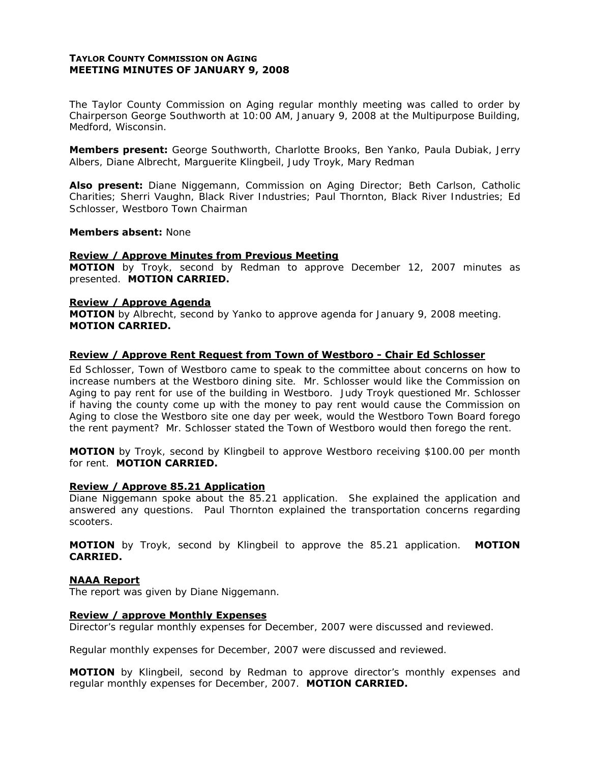## **TAYLOR COUNTY COMMISSION ON AGING MEETING MINUTES OF JANUARY 9, 2008**

The Taylor County Commission on Aging regular monthly meeting was called to order by Chairperson George Southworth at 10:00 AM, January 9, 2008 at the Multipurpose Building, Medford, Wisconsin.

**Members present:** George Southworth, Charlotte Brooks, Ben Yanko, Paula Dubiak, Jerry Albers, Diane Albrecht, Marguerite Klingbeil, Judy Troyk, Mary Redman

**Also present:** Diane Niggemann, Commission on Aging Director; Beth Carlson, Catholic Charities; Sherri Vaughn, Black River Industries; Paul Thornton, Black River Industries; Ed Schlosser, Westboro Town Chairman

#### **Members absent:** None

### **Review / Approve Minutes from Previous Meeting**

**MOTION** by Troyk, second by Redman to approve December 12, 2007 minutes as presented. **MOTION CARRIED.** 

#### **Review / Approve Agenda**

**MOTION** by Albrecht, second by Yanko to approve agenda for January 9, 2008 meeting. **MOTION CARRIED.**

## **Review / Approve Rent Request from Town of Westboro - Chair Ed Schlosser**

Ed Schlosser, Town of Westboro came to speak to the committee about concerns on how to increase numbers at the Westboro dining site. Mr. Schlosser would like the Commission on Aging to pay rent for use of the building in Westboro. Judy Troyk questioned Mr. Schlosser if having the county come up with the money to pay rent would cause the Commission on Aging to close the Westboro site one day per week, would the Westboro Town Board forego the rent payment? Mr. Schlosser stated the Town of Westboro would then forego the rent.

**MOTION** by Troyk, second by Klingbeil to approve Westboro receiving \$100.00 per month for rent. **MOTION CARRIED.** 

#### **Review / Approve 85.21 Application**

Diane Niggemann spoke about the 85.21 application. She explained the application and answered any questions. Paul Thornton explained the transportation concerns regarding scooters.

**MOTION** by Troyk, second by Klingbeil to approve the 85.21 application. **MOTION CARRIED.**

## **NAAA Report**

The report was given by Diane Niggemann.

## **Review / approve Monthly Expenses**

Director's regular monthly expenses for December, 2007 were discussed and reviewed.

Regular monthly expenses for December, 2007 were discussed and reviewed.

**MOTION** by Klingbeil, second by Redman to approve director's monthly expenses and regular monthly expenses for December, 2007. **MOTION CARRIED.**